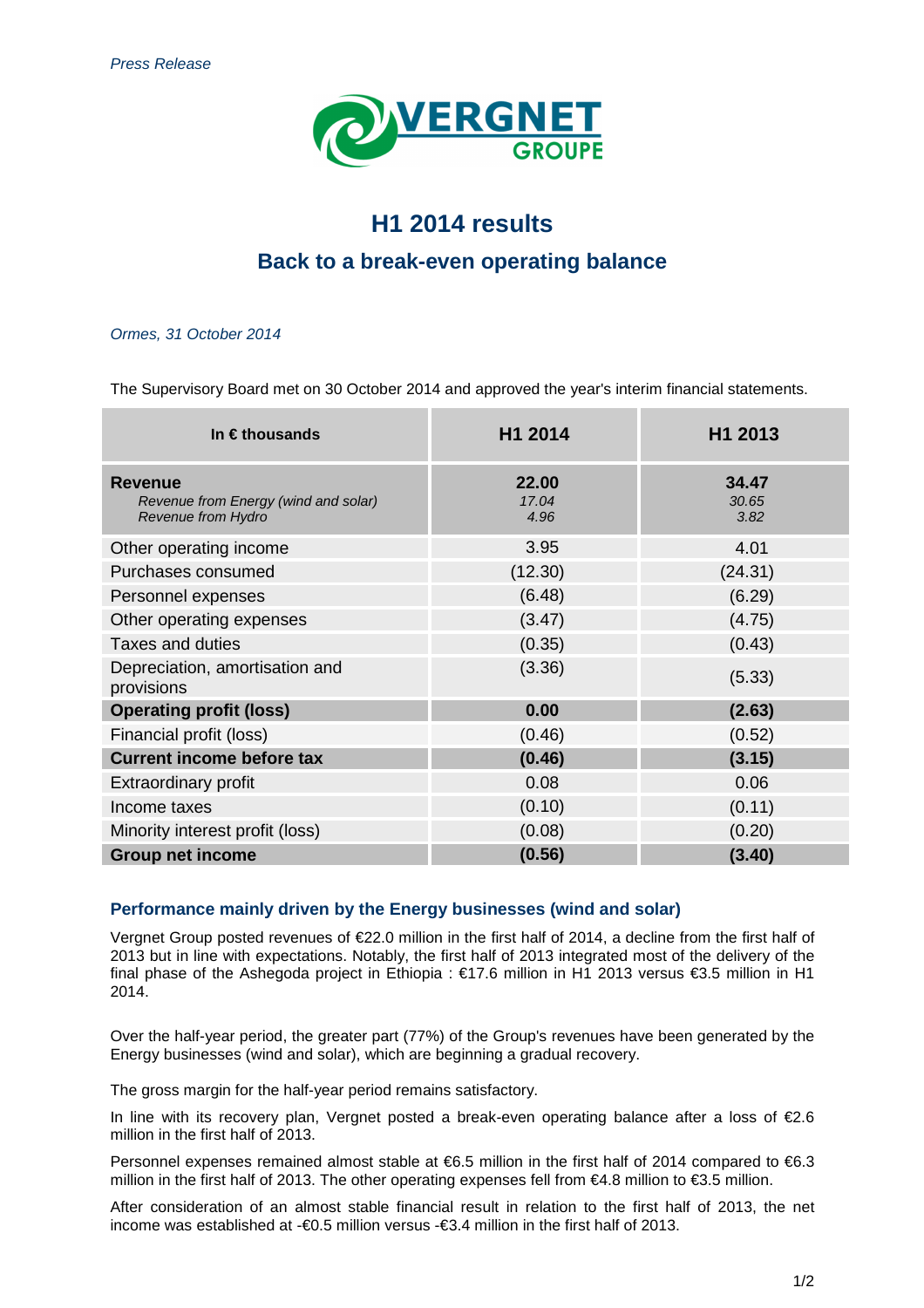

# **H1 2014 results**

# **Back to a break-even operating balance**

### Ormes, 31 October 2014

The Supervisory Board met on 30 October 2014 and approved the year's interim financial statements.

| In $\epsilon$ thousands                                                             | H1 2014                | H1 2013                |
|-------------------------------------------------------------------------------------|------------------------|------------------------|
| <b>Revenue</b><br>Revenue from Energy (wind and solar)<br><b>Revenue from Hydro</b> | 22.00<br>17.04<br>4.96 | 34.47<br>30.65<br>3.82 |
| Other operating income                                                              | 3.95                   | 4.01                   |
| Purchases consumed                                                                  | (12.30)                | (24.31)                |
| Personnel expenses                                                                  | (6.48)                 | (6.29)                 |
| Other operating expenses                                                            | (3.47)                 | (4.75)                 |
| <b>Taxes and duties</b>                                                             | (0.35)                 | (0.43)                 |
| Depreciation, amortisation and<br>provisions                                        | (3.36)                 | (5.33)                 |
| <b>Operating profit (loss)</b>                                                      | 0.00                   | (2.63)                 |
| Financial profit (loss)                                                             | (0.46)                 | (0.52)                 |
| <b>Current income before tax</b>                                                    | (0.46)                 | (3.15)                 |
| <b>Extraordinary profit</b>                                                         | 0.08                   | 0.06                   |
| Income taxes                                                                        | (0.10)                 | (0.11)                 |
| Minority interest profit (loss)                                                     | (0.08)                 | (0.20)                 |
| <b>Group net income</b>                                                             | (0.56)                 | (3.40)                 |

# **Performance mainly driven by the Energy businesses (wind and solar)**

Vergnet Group posted revenues of €22.0 million in the first half of 2014, a decline from the first half of 2013 but in line with expectations. Notably, the first half of 2013 integrated most of the delivery of the final phase of the Ashegoda project in Ethiopia : €17.6 million in H1 2013 versus €3.5 million in H1 2014.

Over the half-year period, the greater part (77%) of the Group's revenues have been generated by the Energy businesses (wind and solar), which are beginning a gradual recovery.

The gross margin for the half-year period remains satisfactory.

In line with its recovery plan, Vergnet posted a break-even operating balance after a loss of €2.6 million in the first half of 2013.

Personnel expenses remained almost stable at €6.5 million in the first half of 2014 compared to €6.3 million in the first half of 2013. The other operating expenses fell from  $\epsilon$ 4.8 million to  $\epsilon$ 3.5 million

After consideration of an almost stable financial result in relation to the first half of 2013, the net income was established at -€0.5 million versus -€3.4 million in the first half of 2013.